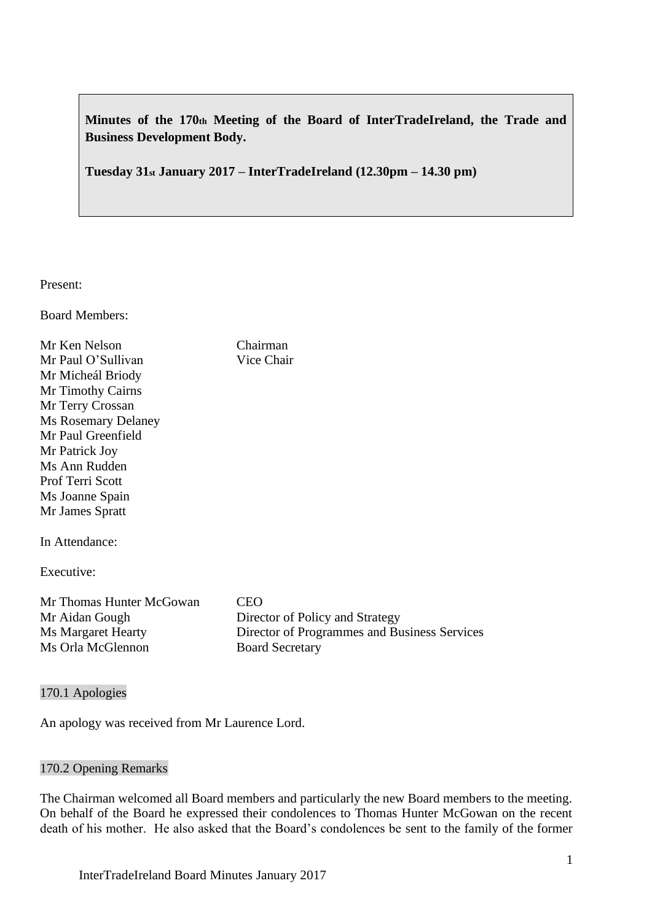**Minutes of the 170th Meeting of the Board of InterTradeIreland, the Trade and Business Development Body.**

**Tuesday 31st January 2017 – InterTradeIreland (12.30pm – 14.30 pm)**

Present:

Board Members:

Mr Ken Nelson Chairman Mr Paul O'Sullivan Vice Chair Mr Micheál Briody Mr Timothy Cairns Mr Terry Crossan Ms Rosemary Delaney Mr Paul Greenfield Mr Patrick Joy Ms Ann Rudden Prof Terri Scott Ms Joanne Spain Mr James Spratt In Attendance: Executive: Mr Thomas Hunter McGowan CEO Mr Aidan Gough Director of Policy and Strategy Ms Margaret Hearty Director of Programmes and Business Services Ms Orla McGlennon Board Secretary

170.1 Apologies

An apology was received from Mr Laurence Lord.

# 170.2 Opening Remarks

The Chairman welcomed all Board members and particularly the new Board members to the meeting. On behalf of the Board he expressed their condolences to Thomas Hunter McGowan on the recent death of his mother. He also asked that the Board's condolences be sent to the family of the former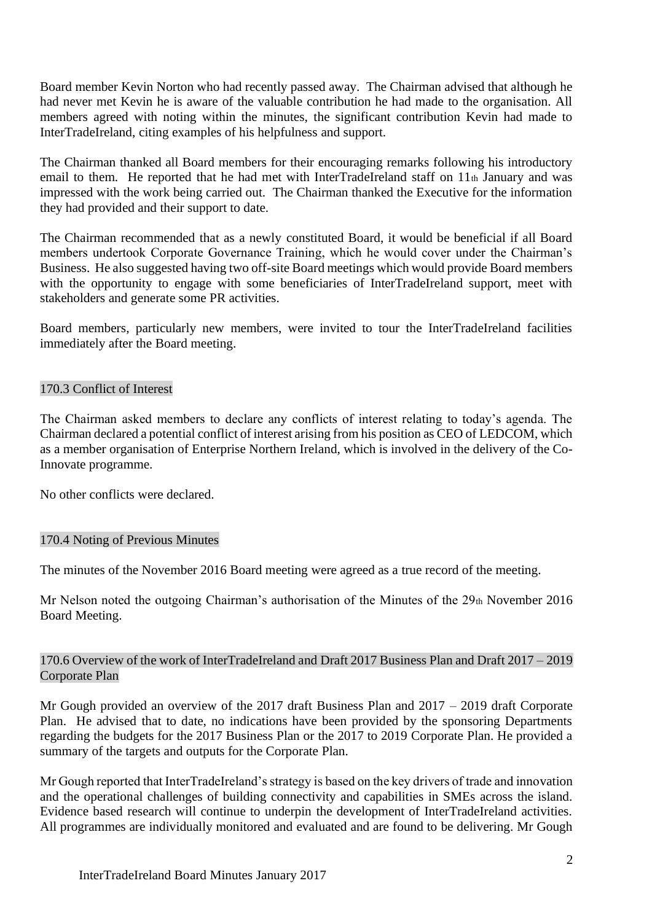Board member Kevin Norton who had recently passed away. The Chairman advised that although he had never met Kevin he is aware of the valuable contribution he had made to the organisation. All members agreed with noting within the minutes, the significant contribution Kevin had made to InterTradeIreland, citing examples of his helpfulness and support.

The Chairman thanked all Board members for their encouraging remarks following his introductory email to them. He reported that he had met with InterTradeIreland staff on 11th January and was impressed with the work being carried out. The Chairman thanked the Executive for the information they had provided and their support to date.

The Chairman recommended that as a newly constituted Board, it would be beneficial if all Board members undertook Corporate Governance Training, which he would cover under the Chairman's Business. He also suggested having two off-site Board meetings which would provide Board members with the opportunity to engage with some beneficiaries of InterTradeIreland support, meet with stakeholders and generate some PR activities.

Board members, particularly new members, were invited to tour the InterTradeIreland facilities immediately after the Board meeting.

## 170.3 Conflict of Interest

The Chairman asked members to declare any conflicts of interest relating to today's agenda. The Chairman declared a potential conflict of interest arising from his position as CEO of LEDCOM, which as a member organisation of Enterprise Northern Ireland, which is involved in the delivery of the Co-Innovate programme.

No other conflicts were declared.

# 170.4 Noting of Previous Minutes

The minutes of the November 2016 Board meeting were agreed as a true record of the meeting.

Mr Nelson noted the outgoing Chairman's authorisation of the Minutes of the 29th November 2016 Board Meeting.

## 170.6 Overview of the work of InterTradeIreland and Draft 2017 Business Plan and Draft 2017 – 2019 Corporate Plan

Mr Gough provided an overview of the 2017 draft Business Plan and 2017 – 2019 draft Corporate Plan. He advised that to date, no indications have been provided by the sponsoring Departments regarding the budgets for the 2017 Business Plan or the 2017 to 2019 Corporate Plan. He provided a summary of the targets and outputs for the Corporate Plan.

Mr Gough reported that InterTradeIreland's strategy is based on the key drivers of trade and innovation and the operational challenges of building connectivity and capabilities in SMEs across the island. Evidence based research will continue to underpin the development of InterTradeIreland activities. All programmes are individually monitored and evaluated and are found to be delivering. Mr Gough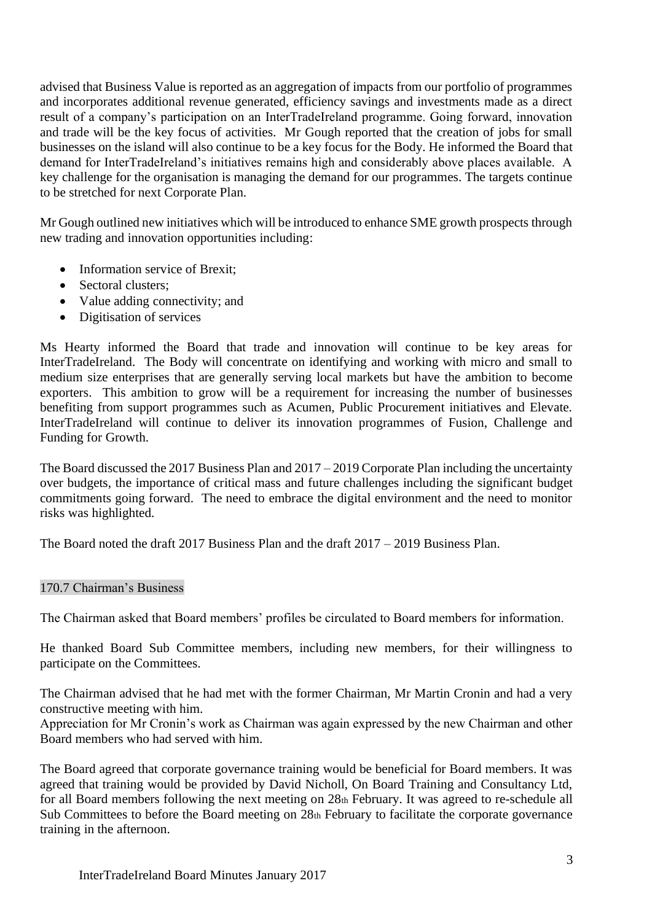advised that Business Value is reported as an aggregation of impacts from our portfolio of programmes and incorporates additional revenue generated, efficiency savings and investments made as a direct result of a company's participation on an InterTradeIreland programme. Going forward, innovation and trade will be the key focus of activities. Mr Gough reported that the creation of jobs for small businesses on the island will also continue to be a key focus for the Body. He informed the Board that demand for InterTradeIreland's initiatives remains high and considerably above places available. A key challenge for the organisation is managing the demand for our programmes. The targets continue to be stretched for next Corporate Plan.

Mr Gough outlined new initiatives which will be introduced to enhance SME growth prospects through new trading and innovation opportunities including:

- Information service of Brexit;
- Sectoral clusters:
- Value adding connectivity; and
- Digitisation of services

Ms Hearty informed the Board that trade and innovation will continue to be key areas for InterTradeIreland. The Body will concentrate on identifying and working with micro and small to medium size enterprises that are generally serving local markets but have the ambition to become exporters. This ambition to grow will be a requirement for increasing the number of businesses benefiting from support programmes such as Acumen, Public Procurement initiatives and Elevate. InterTradeIreland will continue to deliver its innovation programmes of Fusion, Challenge and Funding for Growth.

The Board discussed the 2017 Business Plan and 2017 – 2019 Corporate Plan including the uncertainty over budgets, the importance of critical mass and future challenges including the significant budget commitments going forward. The need to embrace the digital environment and the need to monitor risks was highlighted.

The Board noted the draft 2017 Business Plan and the draft 2017 – 2019 Business Plan.

#### 170.7 Chairman's Business

The Chairman asked that Board members' profiles be circulated to Board members for information.

He thanked Board Sub Committee members, including new members, for their willingness to participate on the Committees.

The Chairman advised that he had met with the former Chairman, Mr Martin Cronin and had a very constructive meeting with him.

Appreciation for Mr Cronin's work as Chairman was again expressed by the new Chairman and other Board members who had served with him.

The Board agreed that corporate governance training would be beneficial for Board members. It was agreed that training would be provided by David Nicholl, On Board Training and Consultancy Ltd, for all Board members following the next meeting on 28th February. It was agreed to re-schedule all Sub Committees to before the Board meeting on 28th February to facilitate the corporate governance training in the afternoon.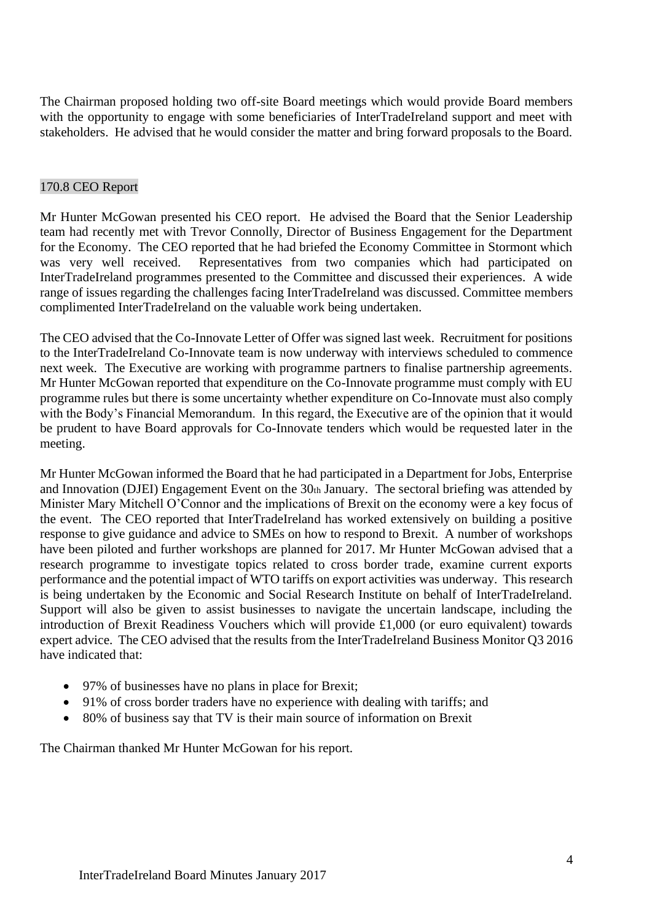The Chairman proposed holding two off-site Board meetings which would provide Board members with the opportunity to engage with some beneficiaries of InterTradeIreland support and meet with stakeholders. He advised that he would consider the matter and bring forward proposals to the Board.

#### 170.8 CEO Report

Mr Hunter McGowan presented his CEO report. He advised the Board that the Senior Leadership team had recently met with Trevor Connolly, Director of Business Engagement for the Department for the Economy. The CEO reported that he had briefed the Economy Committee in Stormont which was very well received. Representatives from two companies which had participated on InterTradeIreland programmes presented to the Committee and discussed their experiences. A wide range of issues regarding the challenges facing InterTradeIreland was discussed. Committee members complimented InterTradeIreland on the valuable work being undertaken.

The CEO advised that the Co-Innovate Letter of Offer was signed last week. Recruitment for positions to the InterTradeIreland Co-Innovate team is now underway with interviews scheduled to commence next week. The Executive are working with programme partners to finalise partnership agreements. Mr Hunter McGowan reported that expenditure on the Co-Innovate programme must comply with EU programme rules but there is some uncertainty whether expenditure on Co-Innovate must also comply with the Body's Financial Memorandum. In this regard, the Executive are of the opinion that it would be prudent to have Board approvals for Co-Innovate tenders which would be requested later in the meeting.

Mr Hunter McGowan informed the Board that he had participated in a Department for Jobs, Enterprise and Innovation (DJEI) Engagement Event on the  $30<sub>th</sub>$  January. The sectoral briefing was attended by Minister Mary Mitchell O'Connor and the implications of Brexit on the economy were a key focus of the event. The CEO reported that InterTradeIreland has worked extensively on building a positive response to give guidance and advice to SMEs on how to respond to Brexit. A number of workshops have been piloted and further workshops are planned for 2017. Mr Hunter McGowan advised that a research programme to investigate topics related to cross border trade, examine current exports performance and the potential impact of WTO tariffs on export activities was underway. This research is being undertaken by the Economic and Social Research Institute on behalf of InterTradeIreland. Support will also be given to assist businesses to navigate the uncertain landscape, including the introduction of Brexit Readiness Vouchers which will provide £1,000 (or euro equivalent) towards expert advice. The CEO advised that the results from the InterTradeIreland Business Monitor Q3 2016 have indicated that:

- 97% of businesses have no plans in place for Brexit;
- 91% of cross border traders have no experience with dealing with tariffs; and
- 80% of business say that TV is their main source of information on Brexit

The Chairman thanked Mr Hunter McGowan for his report.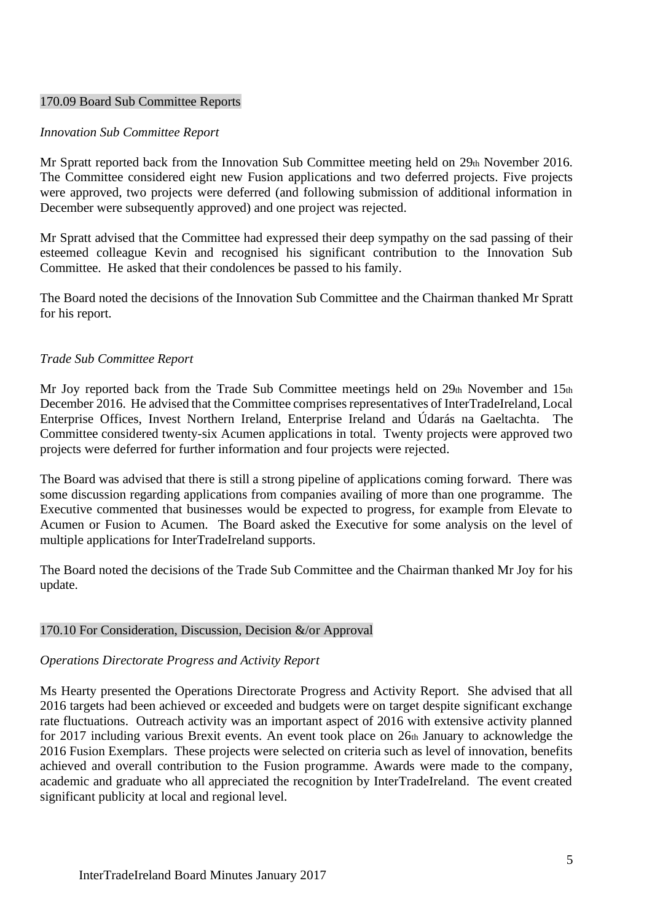#### 170.09 Board Sub Committee Reports

#### *Innovation Sub Committee Report*

Mr Spratt reported back from the Innovation Sub Committee meeting held on 29th November 2016. The Committee considered eight new Fusion applications and two deferred projects. Five projects were approved, two projects were deferred (and following submission of additional information in December were subsequently approved) and one project was rejected.

Mr Spratt advised that the Committee had expressed their deep sympathy on the sad passing of their esteemed colleague Kevin and recognised his significant contribution to the Innovation Sub Committee. He asked that their condolences be passed to his family.

The Board noted the decisions of the Innovation Sub Committee and the Chairman thanked Mr Spratt for his report.

## *Trade Sub Committee Report*

Mr Joy reported back from the Trade Sub Committee meetings held on 29th November and 15th December 2016. He advised that the Committee comprises representatives of InterTradeIreland, Local Enterprise Offices, Invest Northern Ireland, Enterprise Ireland and Údarás na Gaeltachta. The Committee considered twenty-six Acumen applications in total. Twenty projects were approved two projects were deferred for further information and four projects were rejected.

The Board was advised that there is still a strong pipeline of applications coming forward. There was some discussion regarding applications from companies availing of more than one programme. The Executive commented that businesses would be expected to progress, for example from Elevate to Acumen or Fusion to Acumen. The Board asked the Executive for some analysis on the level of multiple applications for InterTradeIreland supports.

The Board noted the decisions of the Trade Sub Committee and the Chairman thanked Mr Joy for his update.

#### 170.10 For Consideration, Discussion, Decision &/or Approval

#### *Operations Directorate Progress and Activity Report*

Ms Hearty presented the Operations Directorate Progress and Activity Report. She advised that all 2016 targets had been achieved or exceeded and budgets were on target despite significant exchange rate fluctuations. Outreach activity was an important aspect of 2016 with extensive activity planned for 2017 including various Brexit events. An event took place on 26th January to acknowledge the 2016 Fusion Exemplars. These projects were selected on criteria such as level of innovation, benefits achieved and overall contribution to the Fusion programme. Awards were made to the company, academic and graduate who all appreciated the recognition by InterTradeIreland. The event created significant publicity at local and regional level.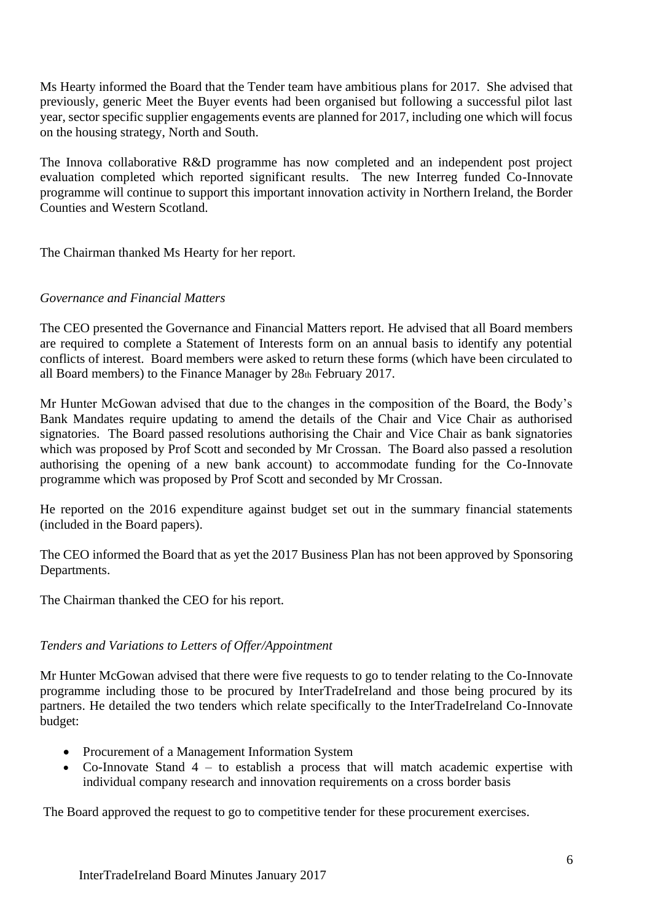Ms Hearty informed the Board that the Tender team have ambitious plans for 2017. She advised that previously, generic Meet the Buyer events had been organised but following a successful pilot last year, sector specific supplier engagements events are planned for 2017, including one which will focus on the housing strategy, North and South.

The Innova collaborative R&D programme has now completed and an independent post project evaluation completed which reported significant results. The new Interreg funded Co-Innovate programme will continue to support this important innovation activity in Northern Ireland, the Border Counties and Western Scotland.

The Chairman thanked Ms Hearty for her report.

#### *Governance and Financial Matters*

The CEO presented the Governance and Financial Matters report. He advised that all Board members are required to complete a Statement of Interests form on an annual basis to identify any potential conflicts of interest. Board members were asked to return these forms (which have been circulated to all Board members) to the Finance Manager by 28th February 2017.

Mr Hunter McGowan advised that due to the changes in the composition of the Board, the Body's Bank Mandates require updating to amend the details of the Chair and Vice Chair as authorised signatories. The Board passed resolutions authorising the Chair and Vice Chair as bank signatories which was proposed by Prof Scott and seconded by Mr Crossan. The Board also passed a resolution authorising the opening of a new bank account) to accommodate funding for the Co-Innovate programme which was proposed by Prof Scott and seconded by Mr Crossan.

He reported on the 2016 expenditure against budget set out in the summary financial statements (included in the Board papers).

The CEO informed the Board that as yet the 2017 Business Plan has not been approved by Sponsoring Departments.

The Chairman thanked the CEO for his report.

# *Tenders and Variations to Letters of Offer/Appointment*

Mr Hunter McGowan advised that there were five requests to go to tender relating to the Co-Innovate programme including those to be procured by InterTradeIreland and those being procured by its partners. He detailed the two tenders which relate specifically to the InterTradeIreland Co-Innovate budget:

- Procurement of a Management Information System
- Co-Innovate Stand 4 to establish a process that will match academic expertise with individual company research and innovation requirements on a cross border basis

The Board approved the request to go to competitive tender for these procurement exercises.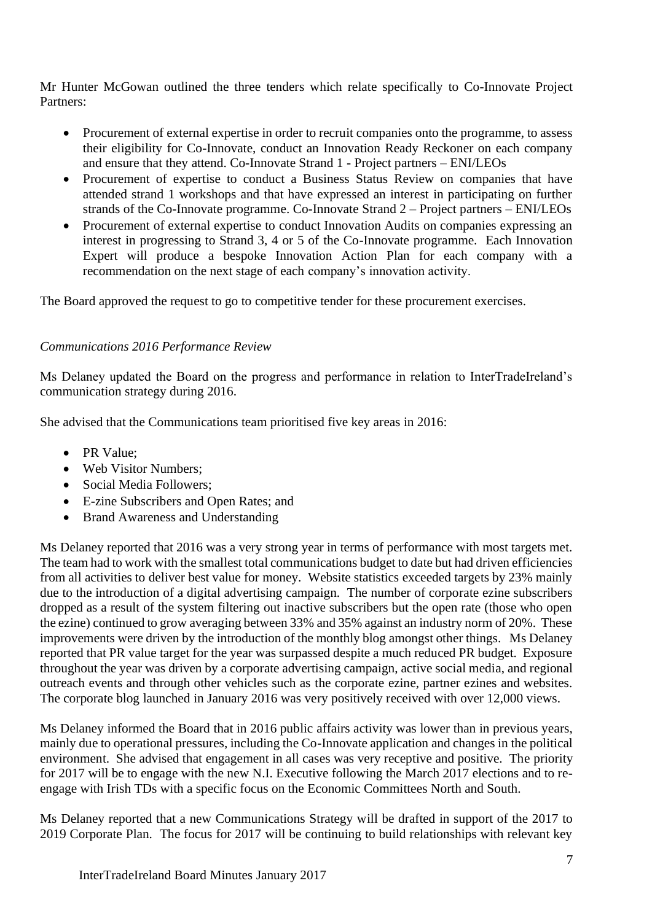Mr Hunter McGowan outlined the three tenders which relate specifically to Co-Innovate Project Partners:

- Procurement of external expertise in order to recruit companies onto the programme, to assess their eligibility for Co-Innovate, conduct an Innovation Ready Reckoner on each company and ensure that they attend. Co-Innovate Strand 1 - Project partners – ENI/LEOs
- Procurement of expertise to conduct a Business Status Review on companies that have attended strand 1 workshops and that have expressed an interest in participating on further strands of the Co-Innovate programme. Co-Innovate Strand 2 – Project partners – ENI/LEOs
- Procurement of external expertise to conduct Innovation Audits on companies expressing an interest in progressing to Strand 3, 4 or 5 of the Co-Innovate programme. Each Innovation Expert will produce a bespoke Innovation Action Plan for each company with a recommendation on the next stage of each company's innovation activity.

The Board approved the request to go to competitive tender for these procurement exercises.

# *Communications 2016 Performance Review*

Ms Delaney updated the Board on the progress and performance in relation to InterTradeIreland's communication strategy during 2016.

She advised that the Communications team prioritised five key areas in 2016:

- PR Value:
- Web Visitor Numbers:
- Social Media Followers;
- E-zine Subscribers and Open Rates; and
- Brand Awareness and Understanding

Ms Delaney reported that 2016 was a very strong year in terms of performance with most targets met. The team had to work with the smallest total communications budget to date but had driven efficiencies from all activities to deliver best value for money. Website statistics exceeded targets by 23% mainly due to the introduction of a digital advertising campaign. The number of corporate ezine subscribers dropped as a result of the system filtering out inactive subscribers but the open rate (those who open the ezine) continued to grow averaging between 33% and 35% against an industry norm of 20%. These improvements were driven by the introduction of the monthly blog amongst other things. Ms Delaney reported that PR value target for the year was surpassed despite a much reduced PR budget. Exposure throughout the year was driven by a corporate advertising campaign, active social media, and regional outreach events and through other vehicles such as the corporate ezine, partner ezines and websites. The corporate blog launched in January 2016 was very positively received with over 12,000 views.

Ms Delaney informed the Board that in 2016 public affairs activity was lower than in previous years, mainly due to operational pressures, including the Co-Innovate application and changes in the political environment. She advised that engagement in all cases was very receptive and positive. The priority for 2017 will be to engage with the new N.I. Executive following the March 2017 elections and to reengage with Irish TDs with a specific focus on the Economic Committees North and South.

Ms Delaney reported that a new Communications Strategy will be drafted in support of the 2017 to 2019 Corporate Plan. The focus for 2017 will be continuing to build relationships with relevant key